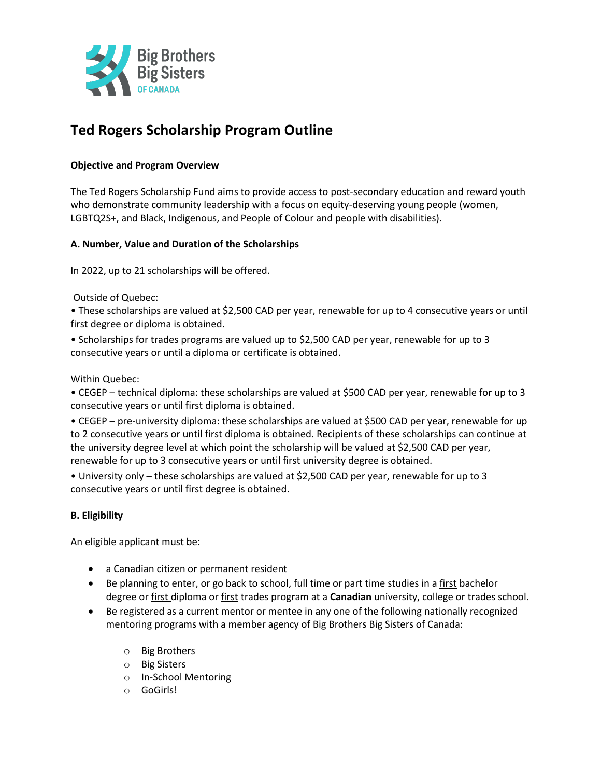

# **Ted Rogers Scholarship Program Outline**

## **Objective and Program Overview**

The Ted Rogers Scholarship Fund aims to provide access to post-secondary education and reward youth who demonstrate community leadership with a focus on equity-deserving young people (women, LGBTQ2S+, and Black, Indigenous, and People of Colour and people with disabilities).

## **A. Number, Value and Duration of the Scholarships**

In 2022, up to 21 scholarships will be offered.

Outside of Quebec:

• These scholarships are valued at \$2,500 CAD per year, renewable for up to 4 consecutive years or until first degree or diploma is obtained.

• Scholarships for trades programs are valued up to \$2,500 CAD per year, renewable for up to 3 consecutive years or until a diploma or certificate is obtained.

Within Quebec:

• CEGEP – technical diploma: these scholarships are valued at \$500 CAD per year, renewable for up to 3 consecutive years or until first diploma is obtained.

• CEGEP – pre-university diploma: these scholarships are valued at \$500 CAD per year, renewable for up to 2 consecutive years or until first diploma is obtained. Recipients of these scholarships can continue at the university degree level at which point the scholarship will be valued at \$2,500 CAD per year, renewable for up to 3 consecutive years or until first university degree is obtained.

• University only – these scholarships are valued at \$2,500 CAD per year, renewable for up to 3 consecutive years or until first degree is obtained.

## **B. Eligibility**

An eligible applicant must be:

- a Canadian citizen or permanent resident
- Be planning to enter, or go back to school, full time or part time studies in a first bachelor degree or first diploma or first trades program at a **Canadian** university, college or trades school.
- Be registered as a current mentor or mentee in any one of the following nationally recognized mentoring programs with a member agency of Big Brothers Big Sisters of Canada:
	- o Big Brothers
	- o Big Sisters
	- o In-School Mentoring
	- o GoGirls!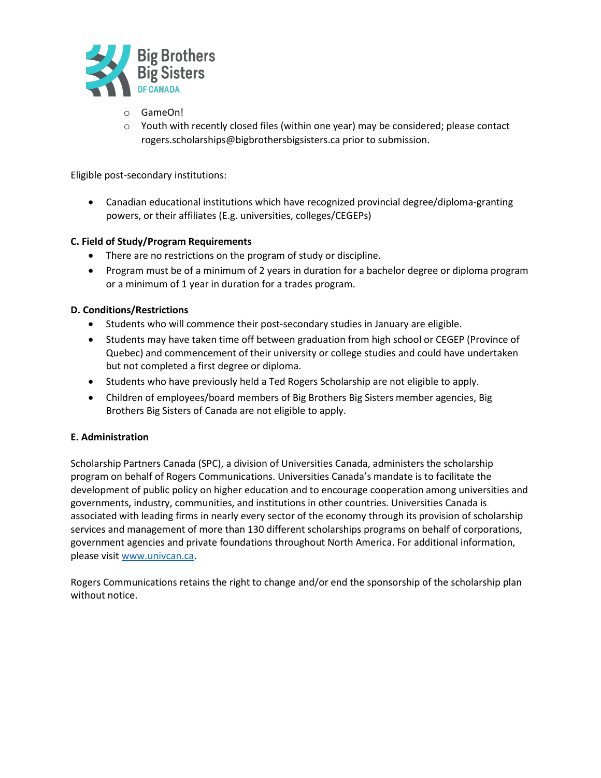

- o GameOn!
- $\circ$  Youth with recently closed files (within one year) may be considered; please contact rogers.scholarships@bigbrothersbigsisters.ca prior to submission.

Eligible post-secondary institutions:

• Canadian educational institutions which have recognized provincial degree/diploma-granting powers, or their affiliates (E.g. universities, colleges/CEGEPs)

## **C. Field of Study/Program Requirements**

- There are no restrictions on the program of study or discipline.
- Program must be of a minimum of 2 years in duration for a bachelor degree or diploma program or a minimum of 1 year in duration for a trades program.

## **D. Conditions/Restrictions**

- Students who will commence their post-secondary studies in January are eligible.
- Students may have taken time off between graduation from high school or CEGEP (Province of Quebec) and commencement of their university or college studies and could have undertaken but not completed a first degree or diploma.
- Students who have previously held a Ted Rogers Scholarship are not eligible to apply.
- Children of employees/board members of Big Brothers Big Sisters member agencies, Big Brothers Big Sisters of Canada are not eligible to apply.

## **E. Administration**

Scholarship Partners Canada (SPC), a division of Universities Canada, administers the scholarship program on behalf of Rogers Communications. Universities Canada's mandate is to facilitate the development of public policy on higher education and to encourage cooperation among universities and governments, industry, communities, and institutions in other countries. Universities Canada is associated with leading firms in nearly every sector of the economy through its provision of scholarship services and management of more than 130 different scholarships programs on behalf of corporations, government agencies and private foundations throughout North America. For additional information, please visit [www.univcan.ca.](http://www.univcan.ca/)

Rogers Communications retains the right to change and/or end the sponsorship of the scholarship plan without notice.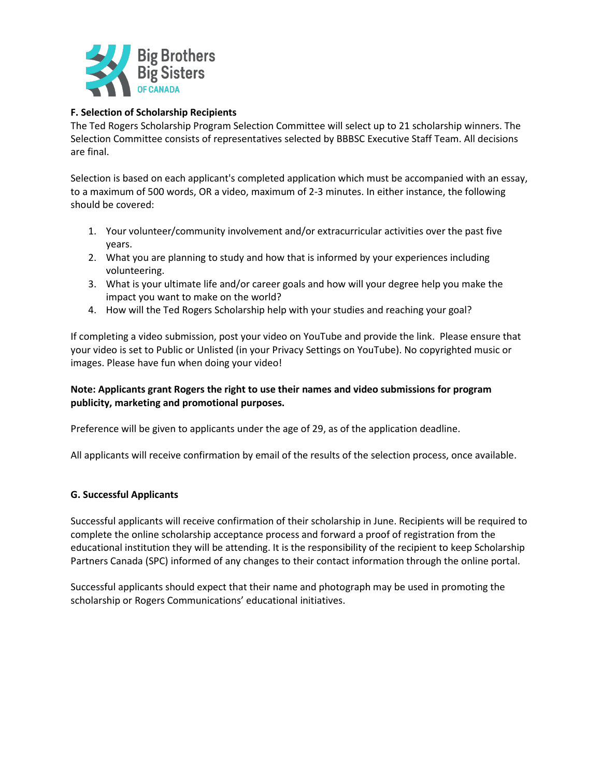

## **F. Selection of Scholarship Recipients**

The Ted Rogers Scholarship Program Selection Committee will select up to 21 scholarship winners. The Selection Committee consists of representatives selected by BBBSC Executive Staff Team. All decisions are final.

Selection is based on each applicant's completed application which must be accompanied with an essay, to a maximum of 500 words, OR a video, maximum of 2-3 minutes. In either instance, the following should be covered:

- 1. Your volunteer/community involvement and/or extracurricular activities over the past five years.
- 2. What you are planning to study and how that is informed by your experiences including volunteering.
- 3. What is your ultimate life and/or career goals and how will your degree help you make the impact you want to make on the world?
- 4. How will the Ted Rogers Scholarship help with your studies and reaching your goal?

If completing a video submission, post your video on YouTube and provide the link. Please ensure that your video is set to Public or Unlisted (in your Privacy Settings on YouTube). No copyrighted music or images. Please have fun when doing your video!

# **Note: Applicants grant Rogers the right to use their names and video submissions for program publicity, marketing and promotional purposes.**

Preference will be given to applicants under the age of 29, as of the application deadline.

All applicants will receive confirmation by email of the results of the selection process, once available.

## **G. Successful Applicants**

Successful applicants will receive confirmation of their scholarship in June. Recipients will be required to complete the online scholarship acceptance process and forward a proof of registration from the educational institution they will be attending. It is the responsibility of the recipient to keep Scholarship Partners Canada (SPC) informed of any changes to their contact information through the online portal.

Successful applicants should expect that their name and photograph may be used in promoting the scholarship or Rogers Communications' educational initiatives.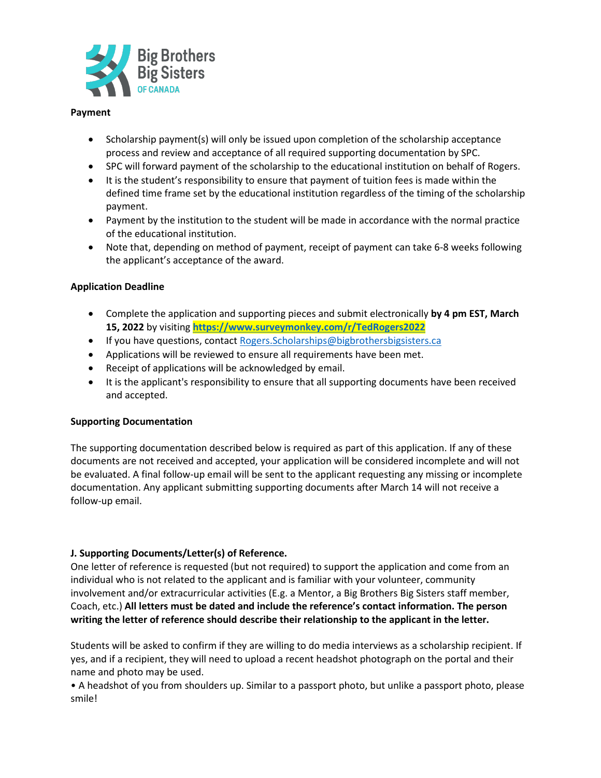

#### **Payment**

- Scholarship payment(s) will only be issued upon completion of the scholarship acceptance process and review and acceptance of all required supporting documentation by SPC.
- SPC will forward payment of the scholarship to the educational institution on behalf of Rogers.
- It is the student's responsibility to ensure that payment of tuition fees is made within the defined time frame set by the educational institution regardless of the timing of the scholarship payment.
- Payment by the institution to the student will be made in accordance with the normal practice of the educational institution.
- Note that, depending on method of payment, receipt of payment can take 6-8 weeks following the applicant's acceptance of the award.

## **Application Deadline**

- Complete the application and supporting pieces and submit electronically **by 4 pm EST, March 15, 2022** by visiting **<https://www.surveymonkey.com/r/TedRogers2022>**
- If you have questions, contact Rogers. Scholarships@bigbrothersbigsisters.ca
- Applications will be reviewed to ensure all requirements have been met.
- Receipt of applications will be acknowledged by email.
- It is the applicant's responsibility to ensure that all supporting documents have been received and accepted.

#### **Supporting Documentation**

The supporting documentation described below is required as part of this application. If any of these documents are not received and accepted, your application will be considered incomplete and will not be evaluated. A final follow-up email will be sent to the applicant requesting any missing or incomplete documentation. Any applicant submitting supporting documents after March 14 will not receive a follow-up email.

## **J. Supporting Documents/Letter(s) of Reference.**

One letter of reference is requested (but not required) to support the application and come from an individual who is not related to the applicant and is familiar with your volunteer, community involvement and/or extracurricular activities (E.g. a Mentor, a Big Brothers Big Sisters staff member, Coach, etc.) **All letters must be dated and include the reference's contact information. The person writing the letter of reference should describe their relationship to the applicant in the letter.** 

Students will be asked to confirm if they are willing to do media interviews as a scholarship recipient. If yes, and if a recipient, they will need to upload a recent headshot photograph on the portal and their name and photo may be used.

• A headshot of you from shoulders up. Similar to a passport photo, but unlike a passport photo, please smile!